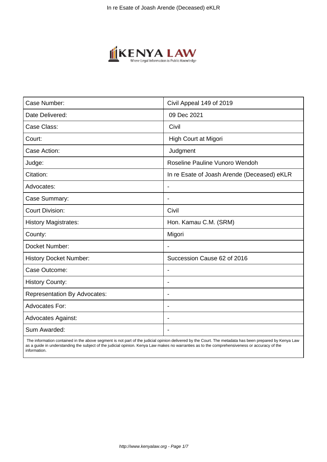

| Case Number:                        | Civil Appeal 149 of 2019                    |  |  |
|-------------------------------------|---------------------------------------------|--|--|
| Date Delivered:                     | 09 Dec 2021                                 |  |  |
| Case Class:                         | Civil                                       |  |  |
| Court:                              | High Court at Migori                        |  |  |
| Case Action:                        | Judgment                                    |  |  |
| Judge:                              | Roseline Pauline Vunoro Wendoh              |  |  |
| Citation:                           | In re Esate of Joash Arende (Deceased) eKLR |  |  |
| Advocates:                          | $\blacksquare$                              |  |  |
| Case Summary:                       | $\overline{\phantom{a}}$                    |  |  |
| <b>Court Division:</b>              | Civil                                       |  |  |
| <b>History Magistrates:</b>         | Hon. Kamau C.M. (SRM)                       |  |  |
| County:                             | Migori                                      |  |  |
| Docket Number:                      |                                             |  |  |
| <b>History Docket Number:</b>       | Succession Cause 62 of 2016                 |  |  |
| Case Outcome:                       | $\blacksquare$                              |  |  |
| <b>History County:</b>              | $\blacksquare$                              |  |  |
| <b>Representation By Advocates:</b> | $\blacksquare$                              |  |  |
| <b>Advocates For:</b>               | $\overline{\phantom{0}}$                    |  |  |
| <b>Advocates Against:</b>           |                                             |  |  |
| Sum Awarded:                        |                                             |  |  |

 The information contained in the above segment is not part of the judicial opinion delivered by the Court. The metadata has been prepared by Kenya Law as a guide in understanding the subject of the judicial opinion. Kenya Law makes no warranties as to the comprehensiveness or accuracy of the information.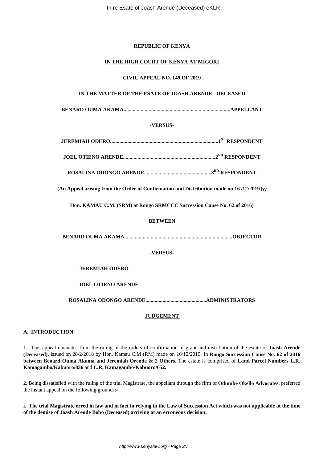## **REPUBLIC OF KENYA**

## **IN THE HIGH COURT OF KENYA AT MIGORI**

### **CIVIL APPEAL NO. 149 OF 2019**

# **IN THE MATTER OF THE ESATE OF JOASH ARENDE - DECEASED**

**BENARD OUMA AKAMA.................................................................................APPELLANT**

## **-VERSUS-**

|  |  | .1 <sup>ST</sup> RESPONDENT |
|--|--|-----------------------------|
|--|--|-----------------------------|

**JOEL OTIENO ARENDE......................................................................2ND RESPONDENT**

**ROSALINA ODONGO ARENDE...................................................3RD RESPONDENT**

**(An Appeal arising from the Order of Confirmation and Distribution made on 16 /12/2019 by**

**Hon. KAMAU C.M. (SRM) at Rongo SRMCCC Succession Cause No. 62 of 2016)**

## **BETWEEN**

**BENARD OUMA AKAMA..................................................................................OBJECTOR**

# **-VERSUS-**

# **JEREMIAH ODERO**

# **JOEL OTIENO ARENDE**

**ROSALINA ODONGO ARENDE..............................................ADMINISTRATORS**

### **JUDGEMENT**

### **A. INTRODUCTION**

1. This appeal emanates from the ruling of the orders of confirmation of grant and distribution of the estate of **Joash Arende (Deceased),** issued on 28/2/2018 by Hon. Kamau C.M (RM) made on 16/12/2019 in **Rongo Succession Cause No. 62 of 2016 between Benard Ouma Akama and Jeremiah Orende & 2 Others.** The estate is comprised of **Land Parcel Numbers L.R. Kamagambo/Kabuoro/836** and **L.R. Kamagambo/Kabuoro/652.**

2. Being dissatisfied with the ruling of the trial Magistrate, the appellant through the firm of **Odumbe Okello Advocates**, preferred the instant appeal on the following grounds:-

**i. The trial Magistrate erred in law and in fact in relying in the Law of Succession Act which was not applicable at the time of the demise of Joash Arende Bobo (Deceased) arriving at an erroneous decision;**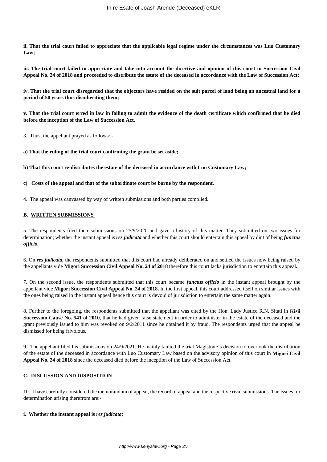**ii. That the trial court failed to appreciate that the applicable legal regime under the circumstances was Luo Customary Law;**

**iii. The trial court failed to appreciate and take into account the directive and opinion of this court in Succession Civil Appeal No. 24 of 2018 and proceeded to distribute the estate of the deceased in accordance with the Law of Succession Act;**

**iv. That the trial court disregarded that the objectors have resided on the suit parcel of land being an ancestral land for a period of 50 years thus disinheriting them;**

**v. That the trial court erred in law in failing to admit the evidence of the death certificate which confirmed that he died before the inception of the Law of Succession Act.** 

3. Thus, the appellant prayed as follows: -

**a) That the ruling of the trial court confirming the grant be set aside;**

**b) That this court re-distributes the estate of the deceased in accordance with Luo Customary Law;**

### **c) Costs of the appeal and that of the subordinate court be borne by the respondent.**

4. The appeal was canvassed by way of written submissions and both parties complied.

#### **B. WRITTEN SUBMISSIONS**

5. The respondents filed their submissions on 25/9/2020 and gave a history of this matter. They submitted on two issues for determination; whether the instant appeal is *res judicata* and whether this court should entertain this appeal by dint of being *functus officio.* 

6. On *res judicata,* the respondents submitted that this court had already deliberated on and settled the issues now being raised by the appellants vide **Migori Succession Civil Appeal No. 24 of 2018** therefore this court lacks jurisdiction to entertain this appeal*.*

7. On the second issue, the respondents submitted that this court became *functus officio* in the instant appeal brought by the appellant vide **Migori Succession Civil Appeal No. 24 of 2018.** In the first appeal, this court addressed itself on similar issues with the ones being raised in the instant appeal hence this court is devoid of jurisdiction to entertain the same matter again.

8. Further to the foregoing, the respondents submitted that the appellant was cited by the Hon. Lady Justice R.N. Sitati in **Kisii Succession Cause No. 541 of 2010**, that he had given false statement in order to administer in the estate of the deceased and the grant previously issued to him was revoked on 9/2/2011 since he obtained it by fraud. The respondents urged that the appeal be dismissed for being frivolous.

9. The appellant filed his submissions on 24/9/2021. He mainly faulted the trial Magistrate's decision to overlook the distribution of the estate of the deceased in accordance with Luo Customary Law based on the advisory opinion of this court in **Migori Civil Appeal No. 24 of 2018** since the deceased died before the inception of the Law of Succession Act.

#### **C. DISCUSSION AND DISPOSITION**

10. I have carefully considered the memorandum of appeal, the record of appeal and the respective rival submissions. The issues for determination arising therefrom are:-

#### **i. Whether the instant appeal is** *res judicata;*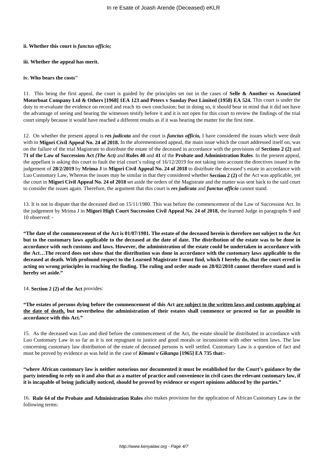#### **ii. Whether this court is** *functus officio;*

#### **iii. Whether the appeal has merit.**

#### **iv. Who bears the costs"**

11. This being the first appeal, the court is guided by the principles set out in the cases of **Selle & Another vs Associated Motorboat Company Ltd & Others [1968] 1EA 123 and Peters v Sunday Post Limited (1958) EA 524.** This court is under the duty to re-evaluate the evidence on record and reach its own conclusion; but in doing so, it should bear in mind that it did not have the advantage of seeing and hearing the witnesses testify before it and it is not open for this court to review the findings of the trial court simply because it would have reached a different results as if it was hearing the matter for the first time.

12. On whether the present appeal is *res judicata* and the court is *functus officio,* I have considered the issues which were dealt with in **Migori Civil Appeal No. 24 of 2018.** In the aforementioned appeal, the main issue which the court addressed itself on, was on the failure of the trial Magistrate to distribute the estate of the deceased in accordance with the provisions of **Sections 2 (2)** and **71 of the Law of Succession Act** *(The Act)* and **Rules 40** and **41** of the **Probate and Administration Rules**. In the present appeal, the appellant is asking this court to fault the trial court's ruling of 16/12/2019 for not taking into account the directives issued in the judgement of **28/2/2019** by **Mrima J** in **Migori Civil Appeal No. 24 of 2018** to distribute the deceased's estate in accordance with Luo Customary Law**.** Whereas the issues may be similar in that they considered whether **Section 2 (2)** of the Act was applicable, yet the court in **Migori Civil Appeal No. 24 of 2018** set aside the orders of the Magistrate and the matter was sent back to the said court to consider the issues again. Therefore, the argument that this court is *res judicata* and *functus officio* cannot stand.

13. It is not in dispute that the deceased died on 15/11/1980. This was before the commencement of the Law of Succession Act. In the judgement by Mrima J in **Migori High Court Succession Civil Appeal No. 24 of 2018,** the learned Judge in paragraphs 9 and 10 observed: -

**"The date of the commencement of the Act is 01/07/1981. The estate of the deceased herein is therefore not subject to the Act but to the customary laws applicable to the deceased at the date of date. The distribution of the estate was to be done in accordance with such customs and laws. However, the administration of the estate could be undertaken in accordance with the Act…The record does not show that the distribution was done in accordance with the customary laws applicable to the deceased at death. With profound respect to the Learned Magistrate I must find, which I hereby do, that the court erred in acting on wrong principles in reaching the finding. The ruling and order made on 28/02/2018 cannot therefore stand and is hereby set aside."** 

14. **Section 2 (2) of the Act** provides:

**"The estates of persons dying before the commencement of this Act are subject to the written laws and customs applying at the date of death, but nevertheless the administration of their estates shall commence or proceed so far as possible in accordance with this Act."**

15. As the deceased was Luo and died before the commencement of the Act, the estate should be distributed in accordance with Luo Customary Law in so far as it is not repugnant to justice and good morals or inconsistent with other written laws. The law concerning customary law distribution of the estate of deceased persons is well settled. Customary Law is a question of fact and must be proved by evidence as was held in the case of *Kimani v Gikanga* **[1965] EA 735 that:-**

**"where African customary law is neither notorious nor documented it must be established for the Court's guidance by the party intending to rely on it and also that as a matter of practice and convenience in civil cases the relevant customary law, if it is incapable of being judicially noticed, should be proved by evidence or expert opinions adduced by the parties."**

16. **Rule 64 of the Probate and Administration Rules** also makes provision for the application of African Customary Law in the following terms: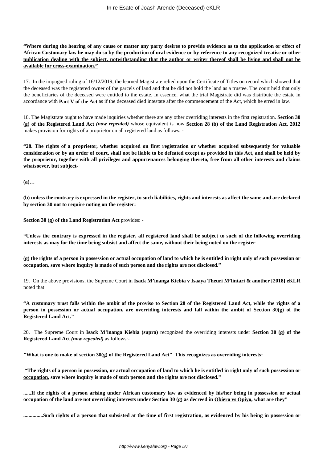**"Where during the hearing of any cause or matter any party desires to provide evidence as to the application or effect of African Customary law he may do so by the production of oral evidence or by reference to any recognized treatise or other publication dealing with the subject, notwithstanding that the author or writer thereof shall be living and shall not be available for cross-examination."**

17. In the impugned ruling of 16/12/2019, the learned Magistrate relied upon the Certificate of Titles on record which showed that the deceased was the registered owner of the parcels of land and that he did not hold the land as a trustee. The court held that only the beneficiaries of the deceased were entitled to the estate. In essence, what the trial Magistrate did was distribute the estate in accordance with **Part V of the Act** as if the deceased died intestate after the commencement of the Act, which he erred in law.

18. The Magistrate ought to have made inquiries whether there are any other overriding interests in the first registration. **Section 30 (g) of the Registered Land Act** *(now repealed)* whose equivalent is now **Section 28 (b) of the Land Registration Act, 2012** makes provision for rights of a proprietor on all registered land as follows: -

**"28. The rights of a proprietor, whether acquired on first registration or whether acquired subsequently for valuable consideration or by an order of court, shall not be liable to be defeated except as provided in this Act, and shall be held by the proprietor, together with all privileges and appurtenances belonging thereto, free from all other interests and claims whatsoever, but subject-**

**(a)…**

**(b) unless the contrary is expressed in the register, to such liabilities, rights and interests as affect the same and are declared by section 30 not to require noting on the register:**

**Section 30 (g) of the Land Registration Act** provides: -

**"Unless the contrary is expressed in the register, all registered land shall be subject to such of the following overriding interests as may for the time being subsist and affect the same, without their being noted on the register-**

**(g) the rights of a person in possession or actual occupation of land to which he is entitled in right only of such possession or occupation, save where inquiry is made of such person and the rights are not disclosed."**

19. On the above provisions, the Supreme Court in **Isack M'inanga Kiebia v Isaaya Theuri M'lintari & another [2018] eKLR** noted that

**"A customary trust falls within the ambit of the proviso to Section 28 of the Registered Land Act, while the rights of a person in possession or actual occupation, are overriding interests and fall within the ambit of Section 30(g) of the Registered Land Act."**

20. The Supreme Court in **Isack M'inanga Kiebia (supra)** recognized the overriding interests under **Section 30 (g) of the Registered Land Act** *(now repealed)* as follows:-

*"***What is one to make of section 30(g) of the Registered Land Act" This recognizes as overriding interests:**

**"The rights of a person in possession, or actual occupation of land to which he is entitled in right only of such possession or occupation, save where inquiry is made of such person and the rights are not disclosed."**

**......If the rights of a person arising under African customary law as evidenced by his/her being in possession or actual occupation of the land are not overriding interests under Section 30 (g) as decreed in Obiero vs Opiyo, what are they"**

**...............Such rights of a person that subsisted at the time of first registration, as evidenced by his being in possession or**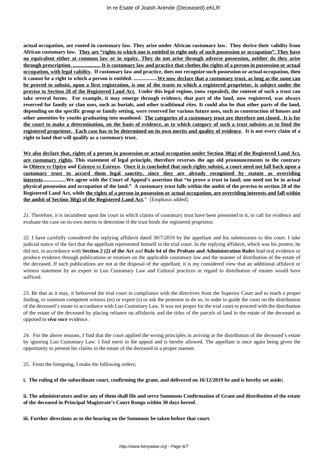**actual occupation, are rooted in customary law. They arise under African customary law. They derive their validity from African customary law. They are "rights to which one is entitled in right only of such possession or occupation". They have no equivalent either at common law or in equity. They do not arise through adverse possession, neither do they arise through prescription. ..................... It is customary law and practice that clothes the rights of a person in possession or actual occupation, with legal validity. If customary law and practice, does not recognize such possession or actual occupation, then it cannot be a right to which a person is entitled. ..................We now declare that a customary trust, as long as the same can be proved to subsist, upon a first registration, is one of the trusts to which a registered proprietor, is subject under the proviso to Section 28 of the Registered Land Act. Under this legal regime, (now repealed), the content of such a trust can take several forms. For example, it may emerge through evidence, that part of the land, now registered, was always reserved for family or clan uses, such as burials, and other traditional rites. It could also be that other parts of the land, depending on the specific group or family setting, were reserved for various future uses, such as construction of houses and other amenities by youths graduating into manhood. The categories of a customary trust are therefore not closed. It is for the court to make a determination, on the basis of evidence, as to which category of such a trust subsists as to bind the registered proprietor. Each case has to be determined on its own merits and quality of evidence. It is not every claim of a right to land that will qualify as a customary trust.**

**We also declare that, rights of a person in possession or actual occupation under Section 30(g) of the Registered Land Act, are customary rights. This statement of legal principle, therefore reverses the age old pronouncements to the contrary in Obiero vs Opiyo and Esiroyo vs Esiroyo. Once it is concluded that such rights subsist, a court need not fall back upon a customary trust to accord them legal sanctity, since they are already recognized by statute as overriding interests..................We agree with the Court of Appeal's assertion that "to prove a trust in land; one need not be in actual physical possession and occupation of the land." A customary trust falls within the ambit of the proviso to section 28 of the Registered Land Act, while the rights of a person in possession or actual occupation, are overriding interests and fall within the ambit of Section 30(g) of the Registered Land Act."** [Emphasis added].

21. Therefore, it is incumbent upon the court in which claims of customary trust have been presented to it, to call for evidence and evaluate the case on its own merits to determine if the trust binds the registered proprietor.

22. I have carefully considered the replying affidavit dated 30/7/2019 by the appellant and his submissions to this court. I take judicial notice of the fact that the appellant represented himself in the trial court. In the replying affidavit, which was his protest, he did not, in accordance with **Section 2 (2) of the Act** and **Rule 64 of the Probate and Administration Rules** lead oral evidence or produce evidence through publications or treatises on the applicable customary law and the manner of distribution of the estate of the deceased. If such publications are not at the disposal of the appellant, it is my considered view that an additional affidavit or witness statement by an expert in Luo Customary Law and Cultural practices in regard to distribution of estates would have sufficed.

23. Be that as it may, it behooved the trial court in compliance with the directives from the Superior Court and to reach a proper finding, to summon competent witness (es) or expert (s) or ask the protestor to do so, in order to guide the court on the distribution of the deceased's estate in accordance with Luo Customary Law. It was not proper for the trial court to proceed with the distribution of the estate of the deceased by placing reliance on affidavits and the titles of the parcels of land in the estate of the deceased as opposed to *viva voce* evidence.

24. For the above reasons, I find that the court applied the wrong principles in arriving at the distribution of the deceased's estate by ignoring Luo Customary Law. I find merit in the appeal and is hereby allowed. The appellant is once again being given the opportunity to present his claims in the estate of the deceased in a proper manner.

25. From the foregoing, I make the following orders;

**i. The ruling of the subordinate court, confirming the grant, and delivered on 16/12/2019 be and is hereby set aside;**

**ii. The administrators and/or any of them shall file and serve Summons Confirmation of Grant and distribution of the estate of the deceased in Principal Magistrate's Court Rongo within 30 days hereof.**

**iii. Further directions as to the hearing on the Summons be taken before that court.**